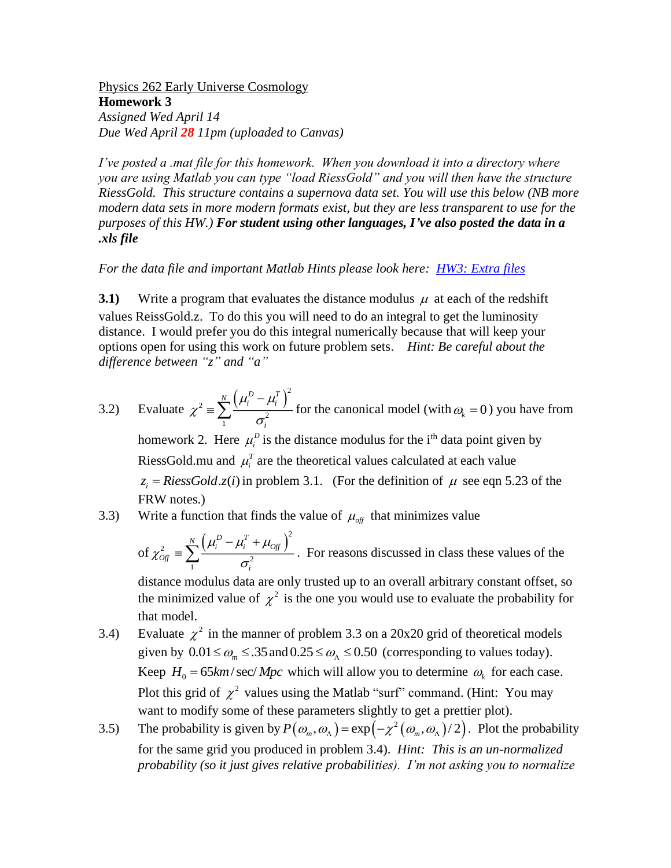Physics 262 Early Universe Cosmology **Homework 3** *Assigned Wed April 14 Due Wed April 28 11pm (uploaded to Canvas)*

*I've posted a .mat file for this homework. When you download it into a directory where you are using Matlab you can type "load RiessGold" and you will then have the structure RiessGold. This structure contains a supernova data set. You will use this below (NB more modern data sets in more modern formats exist, but they are less transparent to use for the purposes of this HW.) For student using other languages, I've also posted the data in a .xls file*

## *For the data file and important Matlab Hints please look here: [HW3: Extra files](http://albrecht.ucdavis.edu/students/phy-262/hw3-extra-files)*

**3.1**) Write a program that evaluates the distance modulus  $\mu$  at each of the redshift values ReissGold.z. To do this you will need to do an integral to get the luminosity distance. I would prefer you do this integral numerically because that will keep your options open for using this work on future problem sets. *Hint: Be careful about the difference between "z" and "a"*

3.2) Evaluate 
$$
\chi^2 = \sum_{1}^{N} \frac{(\mu_i^D - \mu_i^T)^2}{\sigma_i^2}
$$
 for the canonical model (with  $\omega_k = 0$ ) you have from  
homework 2. Here  $\mu_i^D$  is the distance modulus for the i<sup>th</sup> data point given by  
RiessGold.mu and  $\mu_i^T$  are the theoretical values calculated at each value  
 $z_i = RiessGold.z(i)$  in problem 3.1. (For the definition of  $\mu$  see eqn 5.23 of the  
FRW notes.)

3.3) Write a function that finds the value of  $\mu_{\text{off}}$  that minimizes value

of 
$$
\chi^2_{\text{Off}} = \sum_{1}^{N} \frac{\left(\mu_i^D - \mu_i^T + \mu_{\text{Off}}\right)^2}{\sigma_i^2}
$$
. For reasons discussed in class these values of the

distance modulus data are only trusted up to an overall arbitrary constant offset, so the minimized value of  $\chi^2$  is the one you would use to evaluate the probability for that model.

- 3.4) Evaluate  $\chi^2$  in the manner of problem 3.3 on a 20x20 grid of theoretical models given by  $0.01 \le \omega_m \le .35$  and  $0.25 \le \omega_{\Lambda} \le 0.50$  (corresponding to values today). Keep  $H_0 = 65 km/sec/Mpc$  which will allow you to determine  $\omega_k$  for each case. Plot this grid of  $\chi^2$  values using the Matlab "surf" command. (Hint: You may want to modify some of these parameters slightly to get a prettier plot).
- 3.5) The probability is given by  $P(\omega_m, \omega_\Lambda) = \exp(-\chi^2(\omega_m, \omega_\Lambda)/2)$ . Plot the probability for the same grid you produced in problem 3.4). *Hint: This is an un-normalized probability (so it just gives relative probabilities). I'm not asking you to normalize*